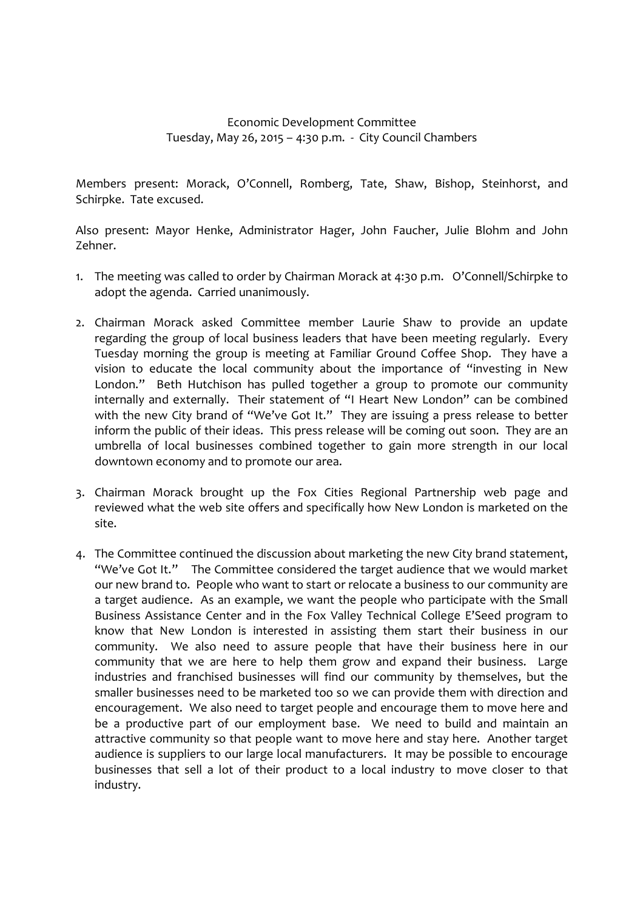## Economic Development Committee Tuesday, May 26, 2015 – 4:30 p.m. - City Council Chambers

Members present: Morack, O'Connell, Romberg, Tate, Shaw, Bishop, Steinhorst, and Schirpke. Tate excused.

Also present: Mayor Henke, Administrator Hager, John Faucher, Julie Blohm and John Zehner.

- 1. The meeting was called to order by Chairman Morack at 4:30 p.m. O'Connell/Schirpke to adopt the agenda. Carried unanimously.
- 2. Chairman Morack asked Committee member Laurie Shaw to provide an update regarding the group of local business leaders that have been meeting regularly. Every Tuesday morning the group is meeting at Familiar Ground Coffee Shop. They have a vision to educate the local community about the importance of "investing in New London." Beth Hutchison has pulled together a group to promote our community internally and externally. Their statement of "I Heart New London" can be combined with the new City brand of "We've Got It." They are issuing a press release to better inform the public of their ideas. This press release will be coming out soon. They are an umbrella of local businesses combined together to gain more strength in our local downtown economy and to promote our area.
- 3. Chairman Morack brought up the Fox Cities Regional Partnership web page and reviewed what the web site offers and specifically how New London is marketed on the site.
- 4. The Committee continued the discussion about marketing the new City brand statement, "We've Got It." The Committee considered the target audience that we would market our new brand to. People who want to start or relocate a business to our community are a target audience. As an example, we want the people who participate with the Small Business Assistance Center and in the Fox Valley Technical College E'Seed program to know that New London is interested in assisting them start their business in our community. We also need to assure people that have their business here in our community that we are here to help them grow and expand their business. Large industries and franchised businesses will find our community by themselves, but the smaller businesses need to be marketed too so we can provide them with direction and encouragement. We also need to target people and encourage them to move here and be a productive part of our employment base. We need to build and maintain an attractive community so that people want to move here and stay here. Another target audience is suppliers to our large local manufacturers. It may be possible to encourage businesses that sell a lot of their product to a local industry to move closer to that industry.